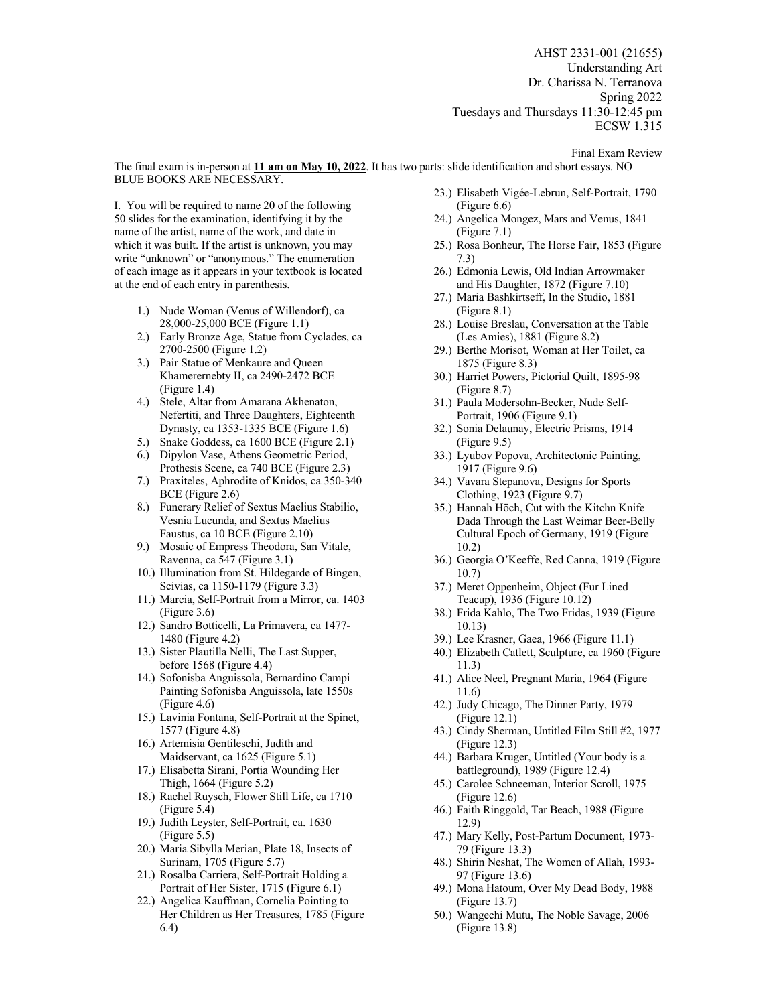AHST 2331-001 (21655) Understanding Art Dr. Charissa N. Terranova Spring 2022 Tuesdays and Thursdays 11:30-12:45 pm ECSW 1.315

Final Exam Review

The final exam is in-person at **11 am on May 10, 2022**. It has two parts: slide identification and short essays. NO BLUE BOOKS ARE NECESSARY.

I. You will be required to name 20 of the following 50 slides for the examination, identifying it by the name of the artist, name of the work, and date in which it was built. If the artist is unknown, you may write "unknown" or "anonymous." The enumeration of each image as it appears in your textbook is located at the end of each entry in parenthesis.

- 1.) Nude Woman (Venus of Willendorf), ca 28,000-25,000 BCE (Figure 1.1)
- 2.) Early Bronze Age, Statue from Cyclades, ca 2700-2500 (Figure 1.2)
- 3.) Pair Statue of Menkaure and Queen Khamerernebty II, ca 2490-2472 BCE (Figure 1.4)
- 4.) Stele, Altar from Amarana Akhenaton, Nefertiti, and Three Daughters, Eighteenth Dynasty, ca 1353-1335 BCE (Figure 1.6)
- 5.) Snake Goddess, ca 1600 BCE (Figure 2.1)
- 6.) Dipylon Vase, Athens Geometric Period, Prothesis Scene, ca 740 BCE (Figure 2.3)
- 7.) Praxiteles, Aphrodite of Knidos, ca 350-340 BCE (Figure 2.6)
- 8.) Funerary Relief of Sextus Maelius Stabilio, Vesnia Lucunda, and Sextus Maelius Faustus, ca 10 BCE (Figure 2.10)
- 9.) Mosaic of Empress Theodora, San Vitale, Ravenna, ca 547 (Figure 3.1)
- 10.) Illumination from St. Hildegarde of Bingen, Scivias, ca 1150-1179 (Figure 3.3)
- 11.) Marcia, Self-Portrait from a Mirror, ca. 1403 (Figure 3.6)
- 12.) Sandro Botticelli, La Primavera, ca 1477- 1480 (Figure 4.2)
- 13.) Sister Plautilla Nelli, The Last Supper, before 1568 (Figure 4.4)
- 14.) Sofonisba Anguissola, Bernardino Campi Painting Sofonisba Anguissola, late 1550s (Figure 4.6)
- 15.) Lavinia Fontana, Self-Portrait at the Spinet, 1577 (Figure 4.8)
- 16.) Artemisia Gentileschi, Judith and Maidservant, ca 1625 (Figure 5.1)
- 17.) Elisabetta Sirani, Portia Wounding Her Thigh, 1664 (Figure 5.2)
- 18.) Rachel Ruysch, Flower Still Life, ca 1710 (Figure 5.4)
- 19.) Judith Leyster, Self-Portrait, ca. 1630 (Figure 5.5)
- 20.) Maria Sibylla Merian, Plate 18, Insects of Surinam, 1705 (Figure 5.7)
- 21.) Rosalba Carriera, Self-Portrait Holding a Portrait of Her Sister, 1715 (Figure 6.1)
- 22.) Angelica Kauffman, Cornelia Pointing to Her Children as Her Treasures, 1785 (Figure 6.4)
- 23.) Elisabeth Vigée-Lebrun, Self-Portrait, 1790 (Figure 6.6)
- 24.) Angelica Mongez, Mars and Venus, 1841 (Figure 7.1)
- 25.) Rosa Bonheur, The Horse Fair, 1853 (Figure 7.3)
- 26.) Edmonia Lewis, Old Indian Arrowmaker and His Daughter, 1872 (Figure 7.10)
- 27.) Maria Bashkirtseff, In the Studio, 1881 (Figure 8.1)
- 28.) Louise Breslau, Conversation at the Table (Les Amies), 1881 (Figure 8.2)
- 29.) Berthe Morisot, Woman at Her Toilet, ca 1875 (Figure 8.3)
- 30.) Harriet Powers, Pictorial Quilt, 1895-98 (Figure 8.7)
- 31.) Paula Modersohn-Becker, Nude Self-Portrait, 1906 (Figure 9.1)
- 32.) Sonia Delaunay, Electric Prisms, 1914 (Figure 9.5)
- 33.) Lyubov Popova, Architectonic Painting, 1917 (Figure 9.6)
- 34.) Vavara Stepanova, Designs for Sports Clothing, 1923 (Figure 9.7)
- 35.) Hannah Höch, Cut with the Kitchn Knife Dada Through the Last Weimar Beer-Belly Cultural Epoch of Germany, 1919 (Figure 10.2)
- 36.) Georgia O'Keeffe, Red Canna, 1919 (Figure 10.7)
- 37.) Meret Oppenheim, Object (Fur Lined Teacup), 1936 (Figure 10.12)
- 38.) Frida Kahlo, The Two Fridas, 1939 (Figure 10.13)
- 39.) Lee Krasner, Gaea, 1966 (Figure 11.1)
- 40.) Elizabeth Catlett, Sculpture, ca 1960 (Figure 11.3)
- 41.) Alice Neel, Pregnant Maria, 1964 (Figure 11.6)
- 42.) Judy Chicago, The Dinner Party, 1979 (Figure 12.1)
- 43.) Cindy Sherman, Untitled Film Still #2, 1977 (Figure 12.3)
- 44.) Barbara Kruger, Untitled (Your body is a battleground), 1989 (Figure 12.4)
- 45.) Carolee Schneeman, Interior Scroll, 1975 (Figure 12.6)
- 46.) Faith Ringgold, Tar Beach, 1988 (Figure 12.9)
- 47.) Mary Kelly, Post-Partum Document, 1973- 79 (Figure 13.3)
- 48.) Shirin Neshat, The Women of Allah, 1993- 97 (Figure 13.6)
- 49.) Mona Hatoum, Over My Dead Body, 1988 (Figure 13.7)
- 50.) Wangechi Mutu, The Noble Savage, 2006 (Figure 13.8)